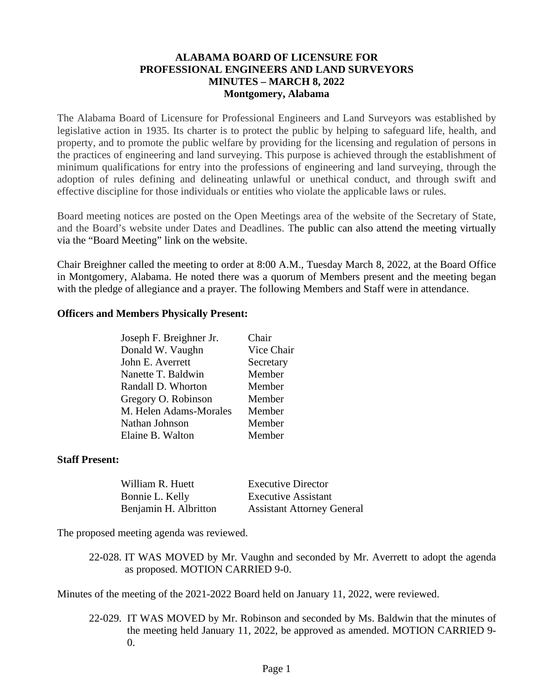#### **ALABAMA BOARD OF LICENSURE FOR PROFESSIONAL ENGINEERS AND LAND SURVEYORS MINUTES – MARCH 8, 2022 Montgomery, Alabama**

The Alabama Board of Licensure for Professional Engineers and Land Surveyors was established by legislative action in 1935. Its charter is to protect the public by helping to safeguard life, health, and property, and to promote the public welfare by providing for the licensing and regulation of persons in the practices of engineering and land surveying. This purpose is achieved through the establishment of minimum qualifications for entry into the professions of engineering and land surveying, through the adoption of rules defining and delineating unlawful or unethical conduct, and through swift and effective discipline for those individuals or entities who violate the applicable laws or rules.

Board meeting notices are posted on the Open Meetings area of the website of the Secretary of State, and the Board's website under Dates and Deadlines. The public can also attend the meeting virtually via the "Board Meeting" link on the website.

Chair Breighner called the meeting to order at 8:00 A.M., Tuesday March 8, 2022, at the Board Office in Montgomery, Alabama. He noted there was a quorum of Members present and the meeting began with the pledge of allegiance and a prayer. The following Members and Staff were in attendance.

#### **Officers and Members Physically Present:**

| Joseph F. Breighner Jr. | Chair      |
|-------------------------|------------|
| Donald W. Vaughn        | Vice Chair |
| John E. Averrett        | Secretary  |
| Nanette T. Baldwin      | Member     |
| Randall D. Whorton      | Member     |
| Gregory O. Robinson     | Member     |
| M. Helen Adams-Morales  | Member     |
| Nathan Johnson          | Member     |
| Elaine B. Walton        | Member     |
|                         |            |

#### **Staff Present:**

| William R. Huett      | <b>Executive Director</b>         |
|-----------------------|-----------------------------------|
| Bonnie L. Kelly       | <b>Executive Assistant</b>        |
| Benjamin H. Albritton | <b>Assistant Attorney General</b> |

The proposed meeting agenda was reviewed.

22-028. IT WAS MOVED by Mr. Vaughn and seconded by Mr. Averrett to adopt the agenda as proposed. MOTION CARRIED 9-0.

Minutes of the meeting of the 2021-2022 Board held on January 11, 2022, were reviewed.

22-029. IT WAS MOVED by Mr. Robinson and seconded by Ms. Baldwin that the minutes of the meeting held January 11, 2022, be approved as amended. MOTION CARRIED 9- 0.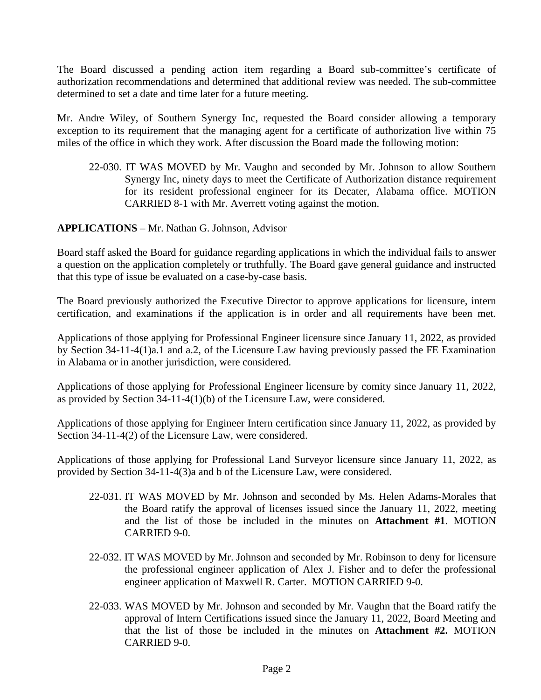The Board discussed a pending action item regarding a Board sub-committee's certificate of authorization recommendations and determined that additional review was needed. The sub-committee determined to set a date and time later for a future meeting.

Mr. Andre Wiley, of Southern Synergy Inc, requested the Board consider allowing a temporary exception to its requirement that the managing agent for a certificate of authorization live within 75 miles of the office in which they work. After discussion the Board made the following motion:

22-030. IT WAS MOVED by Mr. Vaughn and seconded by Mr. Johnson to allow Southern Synergy Inc, ninety days to meet the Certificate of Authorization distance requirement for its resident professional engineer for its Decater, Alabama office. MOTION CARRIED 8-1 with Mr. Averrett voting against the motion.

**APPLICATIONS** – Mr. Nathan G. Johnson, Advisor

Board staff asked the Board for guidance regarding applications in which the individual fails to answer a question on the application completely or truthfully. The Board gave general guidance and instructed that this type of issue be evaluated on a case-by-case basis.

The Board previously authorized the Executive Director to approve applications for licensure, intern certification, and examinations if the application is in order and all requirements have been met.

Applications of those applying for Professional Engineer licensure since January 11, 2022, as provided by Section 34-11-4(1)a.1 and a.2, of the Licensure Law having previously passed the FE Examination in Alabama or in another jurisdiction, were considered.

Applications of those applying for Professional Engineer licensure by comity since January 11, 2022, as provided by Section 34-11-4(1)(b) of the Licensure Law, were considered.

Applications of those applying for Engineer Intern certification since January 11, 2022, as provided by Section 34-11-4(2) of the Licensure Law, were considered.

Applications of those applying for Professional Land Surveyor licensure since January 11, 2022, as provided by Section 34-11-4(3)a and b of the Licensure Law, were considered.

- 22-031. IT WAS MOVED by Mr. Johnson and seconded by Ms. Helen Adams-Morales that the Board ratify the approval of licenses issued since the January 11, 2022, meeting and the list of those be included in the minutes on **Attachment #1**. MOTION CARRIED 9-0.
- 22-032. IT WAS MOVED by Mr. Johnson and seconded by Mr. Robinson to deny for licensure the professional engineer application of Alex J. Fisher and to defer the professional engineer application of Maxwell R. Carter. MOTION CARRIED 9-0.
- 22-033. WAS MOVED by Mr. Johnson and seconded by Mr. Vaughn that the Board ratify the approval of Intern Certifications issued since the January 11, 2022, Board Meeting and that the list of those be included in the minutes on **Attachment #2.** MOTION CARRIED 9-0.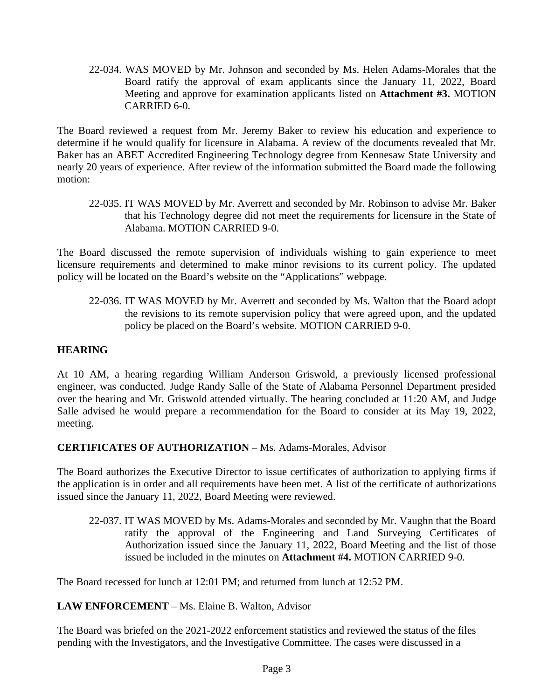22-034. WAS MOVED by Mr. Johnson and seconded by Ms. Helen Adams-Morales that the Board ratify the approval of exam applicants since the January 11, 2022, Board Meeting and approve for examination applicants listed on **Attachment #3.** MOTION CARRIED 6-0.

The Board reviewed a request from Mr. Jeremy Baker to review his education and experience to determine if he would qualify for licensure in Alabama. A review of the documents revealed that Mr. Baker has an ABET Accredited Engineering Technology degree from Kennesaw State University and nearly 20 years of experience. After review of the information submitted the Board made the following motion:

22-035. IT WAS MOVED by Mr. Averrett and seconded by Mr. Robinson to advise Mr. Baker that his Technology degree did not meet the requirements for licensure in the State of Alabama. MOTION CARRIED 9-0.

The Board discussed the remote supervision of individuals wishing to gain experience to meet licensure requirements and determined to make minor revisions to its current policy. The updated policy will be located on the Board's website on the "Applications" webpage.

22-036. IT WAS MOVED by Mr. Averrett and seconded by Ms. Walton that the Board adopt the revisions to its remote supervision policy that were agreed upon, and the updated policy be placed on the Board's website. MOTION CARRIED 9-0.

## **HEARING**

At 10 AM, a hearing regarding William Anderson Griswold, a previously licensed professional engineer, was conducted. Judge Randy Salle of the State of Alabama Personnel Department presided over the hearing and Mr. Griswold attended virtually. The hearing concluded at 11:20 AM, and Judge Salle advised he would prepare a recommendation for the Board to consider at its May 19, 2022, meeting.

## **CERTIFICATES OF AUTHORIZATION** – Ms. Adams-Morales, Advisor

The Board authorizes the Executive Director to issue certificates of authorization to applying firms if the application is in order and all requirements have been met. A list of the certificate of authorizations issued since the January 11, 2022, Board Meeting were reviewed.

22-037. IT WAS MOVED by Ms. Adams-Morales and seconded by Mr. Vaughn that the Board ratify the approval of the Engineering and Land Surveying Certificates of Authorization issued since the January 11, 2022, Board Meeting and the list of those issued be included in the minutes on **Attachment #4.** MOTION CARRIED 9-0.

The Board recessed for lunch at 12:01 PM; and returned from lunch at 12:52 PM.

## **LAW ENFORCEMENT** – Ms. Elaine B. Walton, Advisor

The Board was briefed on the 2021-2022 enforcement statistics and reviewed the status of the files pending with the Investigators, and the Investigative Committee. The cases were discussed in a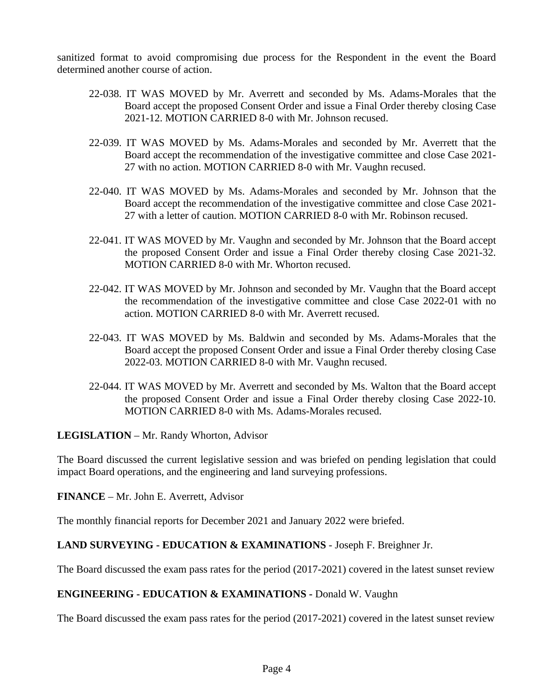sanitized format to avoid compromising due process for the Respondent in the event the Board determined another course of action.

- 22-038. IT WAS MOVED by Mr. Averrett and seconded by Ms. Adams-Morales that the Board accept the proposed Consent Order and issue a Final Order thereby closing Case 2021-12. MOTION CARRIED 8-0 with Mr. Johnson recused.
- 22-039. IT WAS MOVED by Ms. Adams-Morales and seconded by Mr. Averrett that the Board accept the recommendation of the investigative committee and close Case 2021- 27 with no action. MOTION CARRIED 8-0 with Mr. Vaughn recused.
- 22-040. IT WAS MOVED by Ms. Adams-Morales and seconded by Mr. Johnson that the Board accept the recommendation of the investigative committee and close Case 2021- 27 with a letter of caution. MOTION CARRIED 8-0 with Mr. Robinson recused.
- 22-041. IT WAS MOVED by Mr. Vaughn and seconded by Mr. Johnson that the Board accept the proposed Consent Order and issue a Final Order thereby closing Case 2021-32. MOTION CARRIED 8-0 with Mr. Whorton recused.
- 22-042. IT WAS MOVED by Mr. Johnson and seconded by Mr. Vaughn that the Board accept the recommendation of the investigative committee and close Case 2022-01 with no action. MOTION CARRIED 8-0 with Mr. Averrett recused.
- 22-043. IT WAS MOVED by Ms. Baldwin and seconded by Ms. Adams-Morales that the Board accept the proposed Consent Order and issue a Final Order thereby closing Case 2022-03. MOTION CARRIED 8-0 with Mr. Vaughn recused.
- 22-044. IT WAS MOVED by Mr. Averrett and seconded by Ms. Walton that the Board accept the proposed Consent Order and issue a Final Order thereby closing Case 2022-10. MOTION CARRIED 8-0 with Ms. Adams-Morales recused.

**LEGISLATION** – Mr. Randy Whorton, Advisor

The Board discussed the current legislative session and was briefed on pending legislation that could impact Board operations, and the engineering and land surveying professions.

#### **FINANCE** – Mr. John E. Averrett, Advisor

The monthly financial reports for December 2021 and January 2022 were briefed.

## **LAND SURVEYING - EDUCATION & EXAMINATIONS** - Joseph F. Breighner Jr.

The Board discussed the exam pass rates for the period (2017-2021) covered in the latest sunset review

## **ENGINEERING - EDUCATION & EXAMINATIONS -** Donald W. Vaughn

The Board discussed the exam pass rates for the period (2017-2021) covered in the latest sunset review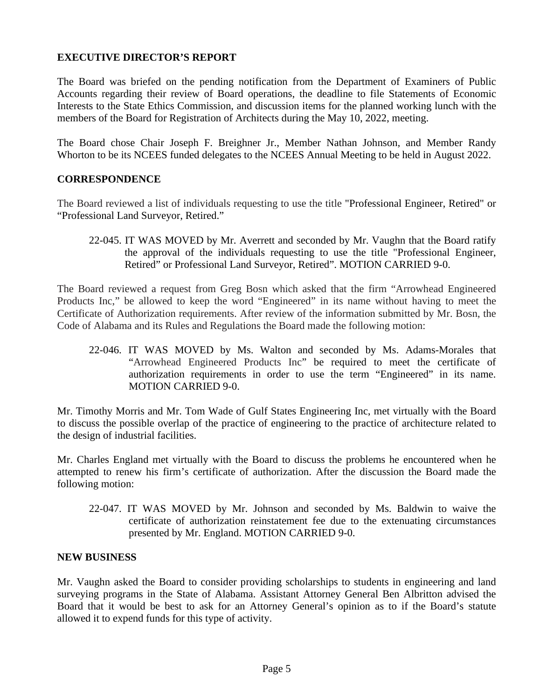### **EXECUTIVE DIRECTOR'S REPORT**

The Board was briefed on the pending notification from the Department of Examiners of Public Accounts regarding their review of Board operations, the deadline to file Statements of Economic Interests to the State Ethics Commission, and discussion items for the planned working lunch with the members of the Board for Registration of Architects during the May 10, 2022, meeting.

The Board chose Chair Joseph F. Breighner Jr., Member Nathan Johnson, and Member Randy Whorton to be its NCEES funded delegates to the NCEES Annual Meeting to be held in August 2022.

#### **CORRESPONDENCE**

The Board reviewed a list of individuals requesting to use the title "Professional Engineer, Retired" or "Professional Land Surveyor, Retired."

#### 22-045. IT WAS MOVED by Mr. Averrett and seconded by Mr. Vaughn that the Board ratify the approval of the individuals requesting to use the title "Professional Engineer, Retired" or Professional Land Surveyor, Retired". MOTION CARRIED 9-0.

The Board reviewed a request from Greg Bosn which asked that the firm "Arrowhead Engineered Products Inc," be allowed to keep the word "Engineered" in its name without having to meet the Certificate of Authorization requirements. After review of the information submitted by Mr. Bosn, the Code of Alabama and its Rules and Regulations the Board made the following motion:

22-046. IT WAS MOVED by Ms. Walton and seconded by Ms. Adams-Morales that "Arrowhead Engineered Products Inc" be required to meet the certificate of authorization requirements in order to use the term "Engineered" in its name. MOTION CARRIED 9-0.

Mr. Timothy Morris and Mr. Tom Wade of Gulf States Engineering Inc, met virtually with the Board to discuss the possible overlap of the practice of engineering to the practice of architecture related to the design of industrial facilities.

Mr. Charles England met virtually with the Board to discuss the problems he encountered when he attempted to renew his firm's certificate of authorization. After the discussion the Board made the following motion:

22-047. IT WAS MOVED by Mr. Johnson and seconded by Ms. Baldwin to waive the certificate of authorization reinstatement fee due to the extenuating circumstances presented by Mr. England. MOTION CARRIED 9-0.

#### **NEW BUSINESS**

Mr. Vaughn asked the Board to consider providing scholarships to students in engineering and land surveying programs in the State of Alabama. Assistant Attorney General Ben Albritton advised the Board that it would be best to ask for an Attorney General's opinion as to if the Board's statute allowed it to expend funds for this type of activity.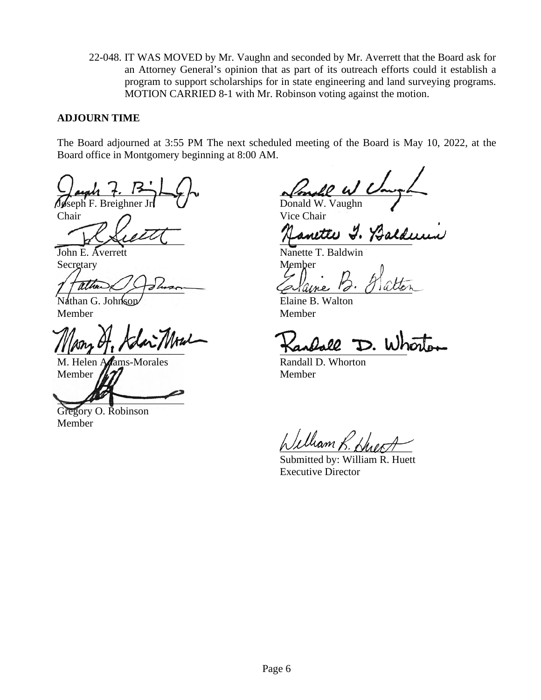22-048. IT WAS MOVED by Mr. Vaughn and seconded by Mr. Averrett that the Board ask for an Attorney General's opinion that as part of its outreach efforts could it establish a program to support scholarships for in state engineering and land surveying programs. MOTION CARRIED 8-1 with Mr. Robinson voting against the motion.

### **ADJOURN TIME**

The Board adjourned at 3:55 PM The next scheduled meeting of the Board is May 10, 2022, at the Board office in Montgomery beginning at 8:00 AM.

 $\frac{1}{2}$ ugh t.  $\frac{1}{2}$   $\frac{1}{2}$   $\frac{1}{2}$   $\frac{1}{2}$  $\int \mathcal{L}$  Breighner Jr.  $\int$  Donald W. Vaughn

Chair Chair Vice Chair

Secretary Member

7 aune Stammen Calaine d'Oiller

Nathan G. Johnson Member Member

 $\frac{1}{2}$ 

M. Helen Adams-Morales Randall D. Whorton Member  $\sqrt{27}$  Member

Gregory O. Robinson Member

anette Y. Balde

John E. Averrett Nanette T. Baldwin

 $\ell$ lliam  $\ell$ 

Submitted by: William R. Huett Executive Director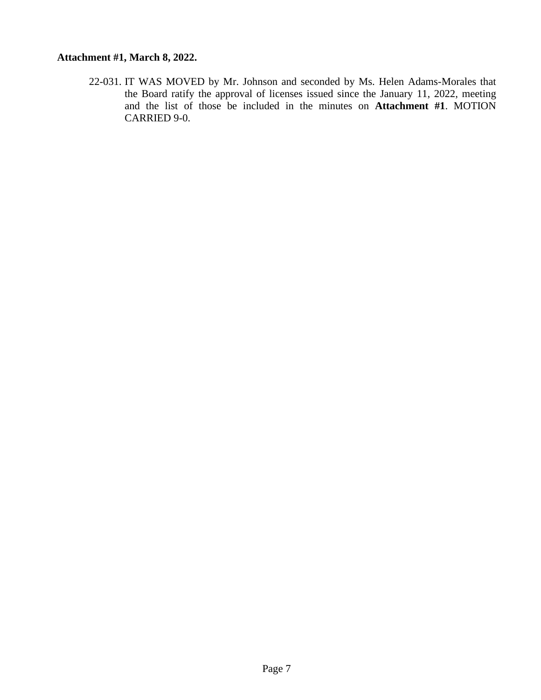### **Attachment #1, March 8, 2022.**

22-031. IT WAS MOVED by Mr. Johnson and seconded by Ms. Helen Adams-Morales that the Board ratify the approval of licenses issued since the January 11, 2022, meeting and the list of those be included in the minutes on **Attachment #1**. MOTION CARRIED 9-0.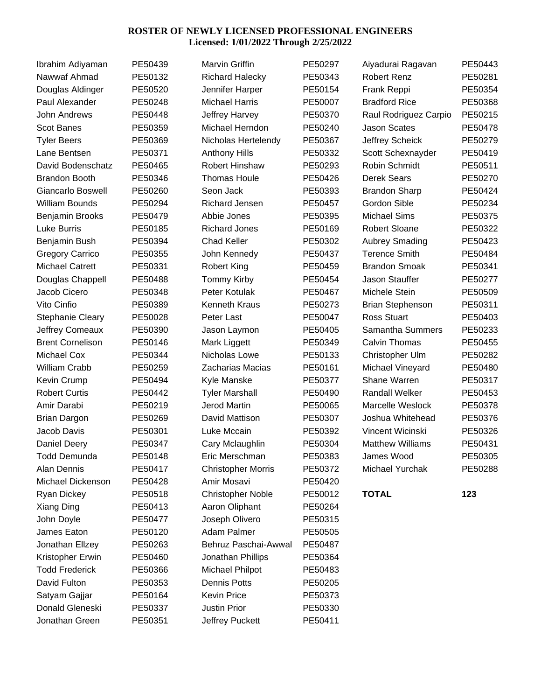#### **ROSTER OF NEWLY LICENSED PROFESSIONAL ENGINEERS Licensed: 1/01/2022 Through 2/25/2022**

| Ibrahim Adiyaman         | PE50439 | <b>Marvin Griffin</b>     | PE50297 | Aiyadurai Ragavan       | PE50443 |
|--------------------------|---------|---------------------------|---------|-------------------------|---------|
| Nawwaf Ahmad             | PE50132 | <b>Richard Halecky</b>    | PE50343 | <b>Robert Renz</b>      | PE50281 |
| Douglas Aldinger         | PE50520 | Jennifer Harper           | PE50154 | Frank Reppi             | PE50354 |
| Paul Alexander           | PE50248 | <b>Michael Harris</b>     | PE50007 | <b>Bradford Rice</b>    | PE50368 |
| John Andrews             | PE50448 | Jeffrey Harvey            | PE50370 | Raul Rodriguez Carpio   | PE50215 |
| <b>Scot Banes</b>        | PE50359 | Michael Herndon           | PE50240 | <b>Jason Scates</b>     | PE50478 |
| <b>Tyler Beers</b>       | PE50369 | Nicholas Hertelendy       | PE50367 | Jeffrey Scheick         | PE50279 |
| Lane Bentsen             | PE50371 | <b>Anthony Hills</b>      | PE50332 | Scott Schexnayder       | PE50419 |
| David Bodenschatz        | PE50465 | Robert Hinshaw            | PE50293 | Robin Schmidt           | PE50511 |
| <b>Brandon Booth</b>     | PE50346 | <b>Thomas Houle</b>       | PE50426 | <b>Derek Sears</b>      | PE50270 |
| <b>Giancarlo Boswell</b> | PE50260 | Seon Jack                 | PE50393 | <b>Brandon Sharp</b>    | PE50424 |
| <b>William Bounds</b>    | PE50294 | <b>Richard Jensen</b>     | PE50457 | Gordon Sible            | PE50234 |
| Benjamin Brooks          | PE50479 | Abbie Jones               | PE50395 | <b>Michael Sims</b>     | PE50375 |
| Luke Burris              | PE50185 | <b>Richard Jones</b>      | PE50169 | <b>Robert Sloane</b>    | PE50322 |
| Benjamin Bush            | PE50394 | <b>Chad Keller</b>        | PE50302 | <b>Aubrey Smading</b>   | PE50423 |
| <b>Gregory Carrico</b>   | PE50355 | John Kennedy              | PE50437 | <b>Terence Smith</b>    | PE50484 |
| <b>Michael Catrett</b>   | PE50331 | <b>Robert King</b>        | PE50459 | <b>Brandon Smoak</b>    | PE50341 |
| Douglas Chappell         | PE50488 | <b>Tommy Kirby</b>        | PE50454 | Jason Stauffer          | PE50277 |
| Jacob Cicero             | PE50348 | Peter Kotulak             | PE50467 | Michele Stein           | PE50509 |
| Vito Cinfio              | PE50389 | <b>Kenneth Kraus</b>      | PE50273 | <b>Brian Stephenson</b> | PE50311 |
| <b>Stephanie Cleary</b>  | PE50028 | Peter Last                | PE50047 | <b>Ross Stuart</b>      | PE50403 |
| Jeffrey Comeaux          | PE50390 | Jason Laymon              | PE50405 | Samantha Summers        | PE50233 |
| <b>Brent Cornelison</b>  | PE50146 | Mark Liggett              | PE50349 | <b>Calvin Thomas</b>    | PE50455 |
| Michael Cox              | PE50344 | Nicholas Lowe             | PE50133 | Christopher Ulm         | PE50282 |
| William Crabb            | PE50259 | Zacharias Macias          | PE50161 | Michael Vineyard        | PE50480 |
| Kevin Crump              | PE50494 | Kyle Manske               | PE50377 | Shane Warren            | PE50317 |
| <b>Robert Curtis</b>     | PE50442 | <b>Tyler Marshall</b>     | PE50490 | <b>Randall Welker</b>   | PE50453 |
| Amir Darabi              | PE50219 | <b>Jerod Martin</b>       | PE50065 | Marcelle Weslock        | PE50378 |
| <b>Brian Dargon</b>      | PE50269 | David Mattison            | PE50307 | Joshua Whitehead        | PE50376 |
| Jacob Davis              | PE50301 | Luke Mccain               | PE50392 | Vincent Wicinski        | PE50326 |
| Daniel Deery             | PE50347 | Cary Mclaughlin           | PE50304 | <b>Matthew Williams</b> | PE50431 |
| <b>Todd Demunda</b>      | PE50148 | Eric Merschman            | PE50383 | James Wood              | PE50305 |
| Alan Dennis              | PE50417 | <b>Christopher Morris</b> | PE50372 | Michael Yurchak         | PE50288 |
| Michael Dickenson        | PE50428 | Amir Mosavi               | PE50420 |                         |         |
| <b>Ryan Dickey</b>       | PE50518 | <b>Christopher Noble</b>  | PE50012 | <b>TOTAL</b>            | 123     |
| Xiang Ding               | PE50413 | Aaron Oliphant            | PE50264 |                         |         |
| John Doyle               | PE50477 | Joseph Olivero            | PE50315 |                         |         |
| James Eaton              | PE50120 | Adam Palmer               | PE50505 |                         |         |
| Jonathan Ellzey          | PE50263 | Behruz Paschai-Awwal      | PE50487 |                         |         |
| Kristopher Erwin         | PE50460 | Jonathan Phillips         | PE50364 |                         |         |
| <b>Todd Frederick</b>    | PE50366 | Michael Philpot           | PE50483 |                         |         |
| David Fulton             | PE50353 | <b>Dennis Potts</b>       | PE50205 |                         |         |
| Satyam Gajjar            | PE50164 | <b>Kevin Price</b>        | PE50373 |                         |         |
| Donald Gleneski          | PE50337 | Justin Prior              | PE50330 |                         |         |
| Jonathan Green           | PE50351 | Jeffrey Puckett           | PE50411 |                         |         |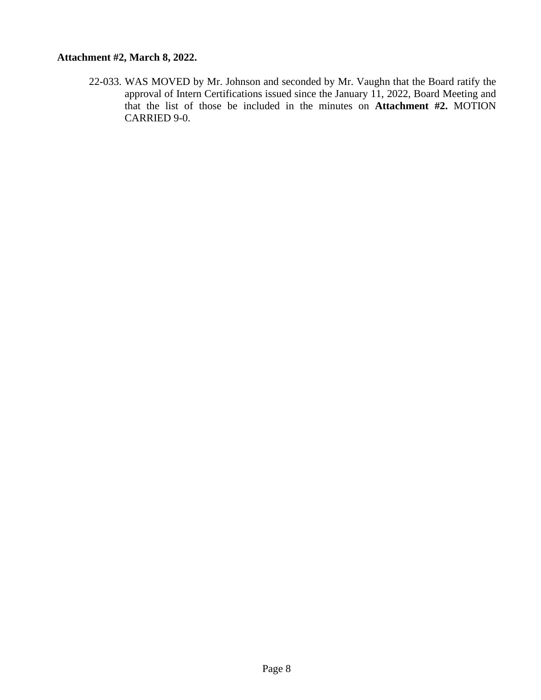### **Attachment #2, March 8, 2022.**

22-033. WAS MOVED by Mr. Johnson and seconded by Mr. Vaughn that the Board ratify the approval of Intern Certifications issued since the January 11, 2022, Board Meeting and that the list of those be included in the minutes on **Attachment #2.** MOTION CARRIED 9-0.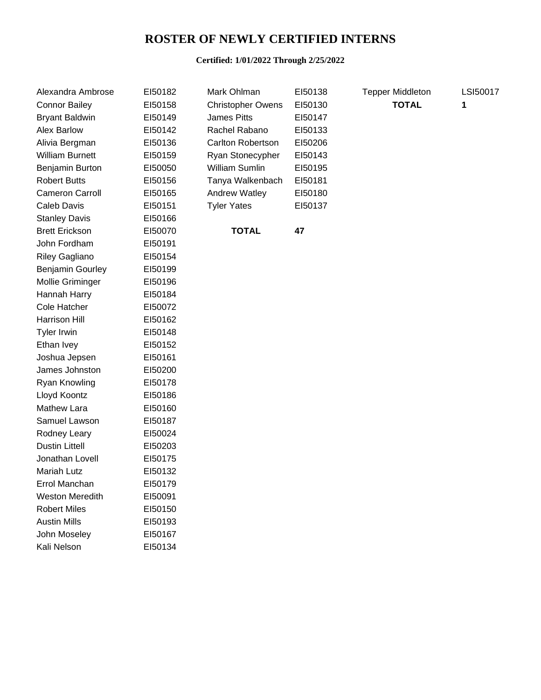## **ROSTER OF NEWLY CERTIFIED INTERNS**

#### **Certified: 1/01/2022 Through 2/25/2022**

| Alexandra Ambrose      | EI50182 | Mark Ohlman              | EI50138 | <b>Tepper Middleton</b> | LSI50017 |
|------------------------|---------|--------------------------|---------|-------------------------|----------|
| <b>Connor Bailey</b>   | EI50158 | <b>Christopher Owens</b> | EI50130 | <b>TOTAL</b>            | 1        |
| <b>Bryant Baldwin</b>  | EI50149 | <b>James Pitts</b>       | EI50147 |                         |          |
| <b>Alex Barlow</b>     | EI50142 | Rachel Rabano            | EI50133 |                         |          |
| Alivia Bergman         | EI50136 | Carlton Robertson        | EI50206 |                         |          |
| <b>William Burnett</b> | EI50159 | Ryan Stonecypher         | EI50143 |                         |          |
| Benjamin Burton        | EI50050 | William Sumlin           | EI50195 |                         |          |
| <b>Robert Butts</b>    | EI50156 | Tanya Walkenbach         | EI50181 |                         |          |
| Cameron Carroll        | EI50165 | Andrew Watley            | EI50180 |                         |          |
| Caleb Davis            | EI50151 | <b>Tyler Yates</b>       | EI50137 |                         |          |
| <b>Stanley Davis</b>   | EI50166 |                          |         |                         |          |
| <b>Brett Erickson</b>  | EI50070 | <b>TOTAL</b>             | 47      |                         |          |
| John Fordham           | EI50191 |                          |         |                         |          |
| Riley Gagliano         | EI50154 |                          |         |                         |          |
| Benjamin Gourley       | EI50199 |                          |         |                         |          |
| Mollie Griminger       | EI50196 |                          |         |                         |          |
| Hannah Harry           | EI50184 |                          |         |                         |          |
| <b>Cole Hatcher</b>    | EI50072 |                          |         |                         |          |
| Harrison Hill          | EI50162 |                          |         |                         |          |
| <b>Tyler Irwin</b>     | EI50148 |                          |         |                         |          |
| Ethan Ivey             | EI50152 |                          |         |                         |          |
| Joshua Jepsen          | EI50161 |                          |         |                         |          |
| James Johnston         | EI50200 |                          |         |                         |          |
| Ryan Knowling          | EI50178 |                          |         |                         |          |
| Lloyd Koontz           | EI50186 |                          |         |                         |          |
| <b>Mathew Lara</b>     | EI50160 |                          |         |                         |          |
| Samuel Lawson          | EI50187 |                          |         |                         |          |
| Rodney Leary           | EI50024 |                          |         |                         |          |
| <b>Dustin Littell</b>  | EI50203 |                          |         |                         |          |
| Jonathan Lovell        | EI50175 |                          |         |                         |          |
| Mariah Lutz            | EI50132 |                          |         |                         |          |
| Errol Manchan          | EI50179 |                          |         |                         |          |
| <b>Weston Meredith</b> | EI50091 |                          |         |                         |          |
| <b>Robert Miles</b>    | EI50150 |                          |         |                         |          |
| <b>Austin Mills</b>    | EI50193 |                          |         |                         |          |
| John Moseley           | EI50167 |                          |         |                         |          |
| Kali Nelson            | EI50134 |                          |         |                         |          |
|                        |         |                          |         |                         |          |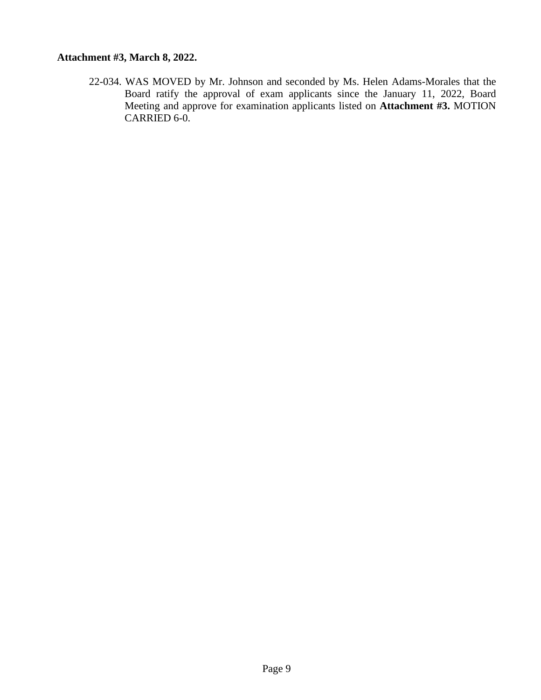### **Attachment #3, March 8, 2022.**

22-034. WAS MOVED by Mr. Johnson and seconded by Ms. Helen Adams-Morales that the Board ratify the approval of exam applicants since the January 11, 2022, Board Meeting and approve for examination applicants listed on **Attachment #3.** MOTION CARRIED 6-0.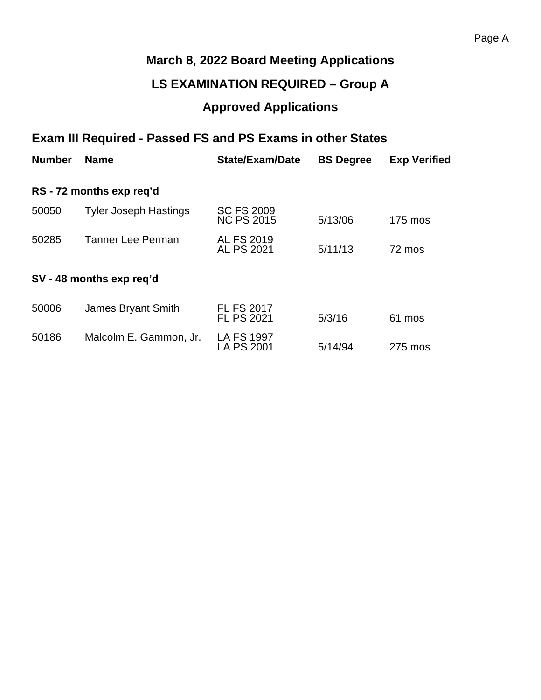# **March 8, 2022 Board Meeting Applications**

## **LS EXAMINATION REQUIRED – Group A**

# **Approved Applications**

# **Exam III Required - Passed FS and PS Exams in other States**

| <b>Number</b> | <b>Name</b>                  | <b>State/Exam/Date</b>                 | <b>BS Degree</b> | <b>Exp Verified</b> |
|---------------|------------------------------|----------------------------------------|------------------|---------------------|
|               | RS - 72 months exp req'd     |                                        |                  |                     |
| 50050         | <b>Tyler Joseph Hastings</b> | <b>SC FS 2009</b><br><b>NC PS 2015</b> | 5/13/06          | 175 mos             |
| 50285         | <b>Tanner Lee Perman</b>     | <b>AL FS 2019</b><br>AL PS 2021        | 5/11/13          | 72 mos              |
|               | SV - 48 months exp req'd     |                                        |                  |                     |
| 50006         | James Bryant Smith           | <b>FL FS 2017</b><br><b>FL PS 2021</b> | 5/3/16           | 61 mos              |
| 50186         | Malcolm E. Gammon, Jr.       | <b>LA FS 1997</b><br><b>LA PS 2001</b> | 5/14/94          | 275 mos             |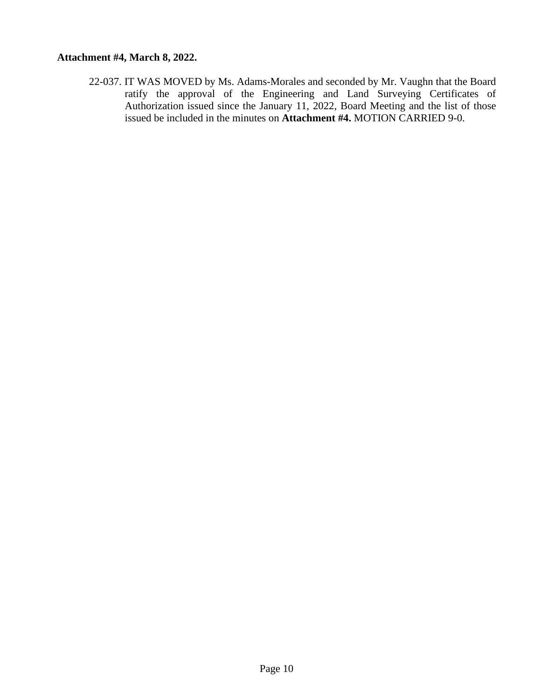### **Attachment #4, March 8, 2022.**

22-037. IT WAS MOVED by Ms. Adams-Morales and seconded by Mr. Vaughn that the Board ratify the approval of the Engineering and Land Surveying Certificates of Authorization issued since the January 11, 2022, Board Meeting and the list of those issued be included in the minutes on **Attachment #4.** MOTION CARRIED 9-0.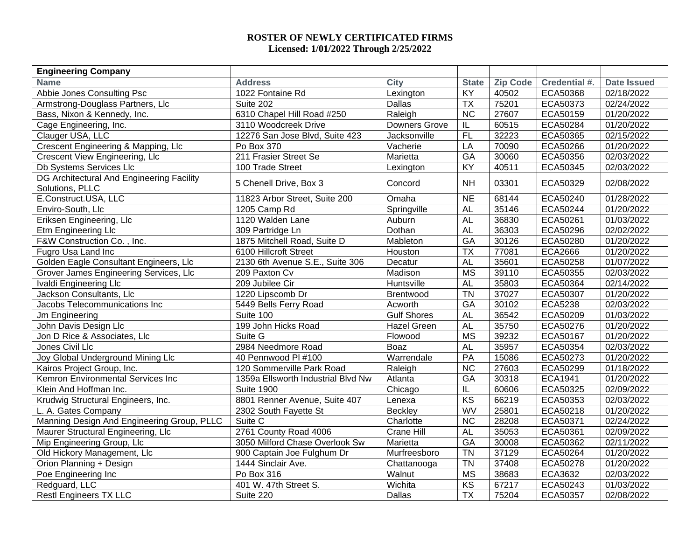#### **ROSTER OF NEWLY CERTIFICATED FIRMS Licensed: 1/01/2022 Through 2/25/2022**

| <b>Engineering Company</b>                                   |                                    |                    |                        |                 |                |                    |
|--------------------------------------------------------------|------------------------------------|--------------------|------------------------|-----------------|----------------|--------------------|
| <b>Name</b>                                                  | <b>Address</b>                     | <b>City</b>        | <b>State</b>           | <b>Zip Code</b> | Credential #.  | <b>Date Issued</b> |
| Abbie Jones Consulting Psc                                   | 1022 Fontaine Rd                   | Lexington          | KY                     | 40502           | ECA50368       | 02/18/2022         |
| Armstrong-Douglass Partners, Llc                             | Suite 202                          | <b>Dallas</b>      | <b>TX</b>              | 75201           | ECA50373       | 02/24/2022         |
| Bass, Nixon & Kennedy, Inc.                                  | 6310 Chapel Hill Road #250         | Raleigh            | <b>NC</b>              | 27607           | ECA50159       | 01/20/2022         |
| Cage Engineering, Inc.                                       | 3110 Woodcreek Drive               | Downers Grove      | IL                     | 60515           | ECA50284       | 01/20/2022         |
| Clauger USA, LLC                                             | 12276 San Jose Blvd, Suite 423     | Jacksonville       | F                      | 32223           | ECA50365       | 02/15/2022         |
| Crescent Engineering & Mapping, Llc                          | Po Box 370                         | Vacherie           | LA                     | 70090           | ECA50266       | 01/20/2022         |
| Crescent View Engineering, Llc                               | 211 Frasier Street Se              | Marietta           | GA                     | 30060           | ECA50356       | 02/03/2022         |
| Db Systems Services Llc                                      | 100 Trade Street                   | Lexington          | KY                     | 40511           | ECA50345       | 02/03/2022         |
| DG Architectural And Engineering Facility<br>Solutions, PLLC | 5 Chenell Drive, Box 3             | Concord            | <b>NH</b>              | 03301           | ECA50329       | 02/08/2022         |
| E.Construct.USA, LLC                                         | 11823 Arbor Street, Suite 200      | Omaha              | $\overline{NE}$        | 68144           | ECA50240       | 01/28/2022         |
| Enviro-South, Llc                                            | 1205 Camp Rd                       | Springville        | <b>AL</b>              | 35146           | ECA50244       | 01/20/2022         |
| Eriksen Engineering, Llc                                     | 1120 Walden Lane                   | Auburn             | <b>AL</b>              | 36830           | ECA50261       | 01/03/2022         |
| <b>Etm Engineering Llc</b>                                   | 309 Partridge Ln                   | Dothan             | <b>AL</b>              | 36303           | ECA50296       | 02/02/2022         |
| F&W Construction Co., Inc.                                   | 1875 Mitchell Road, Suite D        | Mableton           | $G$ A                  | 30126           | ECA50280       | 01/20/2022         |
| Fugro Usa Land Inc                                           | 6100 Hillcroft Street              | Houston            | $\overline{TX}$        | 77081           | <b>ECA2666</b> | 01/20/2022         |
| Golden Eagle Consultant Engineers, Llc                       | 2130 6th Avenue S.E., Suite 306    | Decatur            | <b>AL</b>              | 35601           | ECA50258       | 01/07/2022         |
| Grover James Engineering Services, Llc                       | 209 Paxton Cv                      | Madison            | $\overline{\text{MS}}$ | 39110           | ECA50355       | 02/03/2022         |
| Ivaldi Engineering Llc                                       | 209 Jubilee Cir                    | Huntsville         | <b>AL</b>              | 35803           | ECA50364       | 02/14/2022         |
| Jackson Consultants, Llc                                     | 1220 Lipscomb Dr                   | Brentwood          | <b>TN</b>              | 37027           | ECA50307       | 01/20/2022         |
| Jacobs Telecommunications Inc                                | 5449 Bells Ferry Road              | Acworth            | GA                     | 30102           | <b>ECA5238</b> | 02/03/2022         |
| Jm Engineering                                               | Suite 100                          | <b>Gulf Shores</b> | <b>AL</b>              | 36542           | ECA50209       | 01/03/2022         |
| John Davis Design Llc                                        | 199 John Hicks Road                | Hazel Green        | <b>AL</b>              | 35750           | ECA50276       | 01/20/2022         |
| Jon D Rice & Associates, Llc                                 | Suite G                            | Flowood            | <b>MS</b>              | 39232           | ECA50167       | 01/20/2022         |
| Jones Civil Llc                                              | 2984 Needmore Road                 | Boaz               | <b>AL</b>              | 35957           | ECA50354       | 02/03/2022         |
| Joy Global Underground Mining Llc                            | 40 Pennwood PI #100                | Warrendale         | PA                     | 15086           | ECA50273       | 01/20/2022         |
| Kairos Project Group, Inc.                                   | 120 Sommerville Park Road          | Raleigh            | <b>NC</b>              | 27603           | ECA50299       | 01/18/2022         |
| Kemron Environmental Services Inc                            | 1359a Ellsworth Industrial Blvd Nw | Atlanta            | GA                     | 30318           | <b>ECA1941</b> | 01/20/2022         |
| Klein And Hoffman Inc.                                       | <b>Suite 1900</b>                  | Chicago            | $\mathsf{IL}$          | 60606           | ECA50325       | 02/09/2022         |
| Krudwig Structural Engineers, Inc.                           | 8801 Renner Avenue, Suite 407      | Lenexa             | KS                     | 66219           | ECA50353       | 02/03/2022         |
| L. A. Gates Company                                          | 2302 South Fayette St              | <b>Beckley</b>     | WV                     | 25801           | ECA50218       | 01/20/2022         |
| Manning Design And Engineering Group, PLLC                   | Suite C                            | Charlotte          | <b>NC</b>              | 28208           | ECA50371       | 02/24/2022         |
| Maurer Structural Engineering, Llc                           | 2761 County Road 4006              | Crane Hill         | <b>AL</b>              | 35053           | ECA50361       | 02/09/2022         |
| Mip Engineering Group, Llc                                   | 3050 Milford Chase Overlook Sw     | Marietta           | GA                     | 30008           | ECA50362       | 02/11/2022         |
| Old Hickory Management, Llc                                  | 900 Captain Joe Fulghum Dr         | Murfreesboro       | <b>TN</b>              | 37129           | ECA50264       | 01/20/2022         |
| Orion Planning + Design                                      | 1444 Sinclair Ave.                 | Chattanooga        | <b>TN</b>              | 37408           | ECA50278       | 01/20/2022         |
| Poe Engineering Inc                                          | Po Box 316                         | Walnut             | <b>MS</b>              | 38683           | ECA3632        | 02/03/2022         |
| Redguard, LLC                                                | 401 W. 47th Street S.              | Wichita            | KS                     | 67217           | ECA50243       | 01/03/2022         |
| <b>Restl Engineers TX LLC</b>                                | Suite 220                          | Dallas             | $\overline{TX}$        | 75204           | ECA50357       | 02/08/2022         |